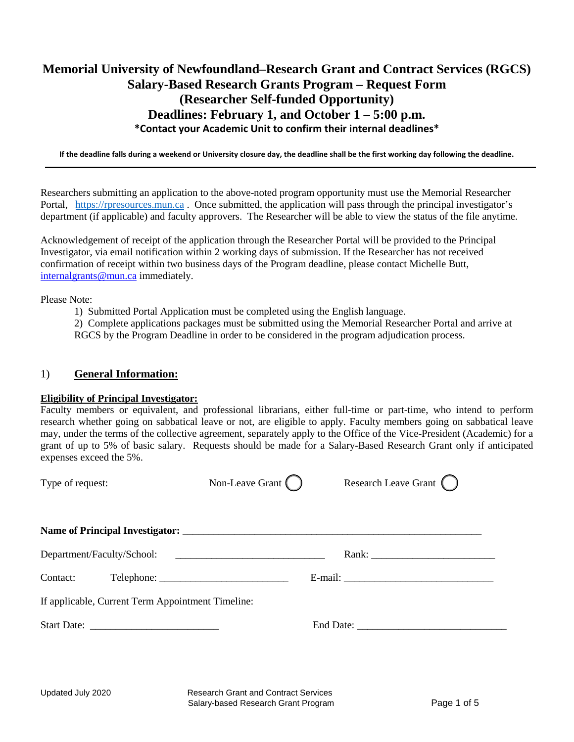# **Memorial University of Newfoundland–Research Grant and Contract Services (RGCS) Salary-Based Research Grants Program – Request Form (Researcher Self-funded Opportunity) Deadlines: February 1, and October 1 – 5:00 p.m. \*Contact your Academic Unit to confirm their internal deadlines\***

**If the deadline falls during a weekend or University closure day, the deadline shall be the first working day following the deadline.**

Researchers submitting an application to the above-noted program opportunity must use the Memorial Researcher Portal, [https://rpresources.mun.ca](https://rpresources.mun.ca/) . Once submitted, the application will pass through the principal investigator's department (if applicable) and faculty approvers. The Researcher will be able to view the status of the file anytime.

Acknowledgement of receipt of the application through the Researcher Portal will be provided to the Principal Investigator, via email notification within 2 working days of submission. If the Researcher has not received confirmation of receipt within two business days of the Program deadline, please contact Michelle Butt, [internalgrants@mun.ca](mailto:internalgrants@mun.ca) immediately.

Please Note:

1) Submitted Portal Application must be completed using the English language.

2) Complete applications packages must be submitted using the Memorial Researcher Portal and arrive at RGCS by the Program Deadline in order to be considered in the program adjudication process.

# 1) **General Information:**

#### **Eligibility of Principal Investigator:**

Faculty members or equivalent, and professional librarians, either full-time or part-time, who intend to perform research whether going on sabbatical leave or not, are eligible to apply. Faculty members going on sabbatical leave may, under the terms of the collective agreement, separately apply to the Office of the Vice-President (Academic) for a grant of up to 5% of basic salary. Requests should be made for a Salary-Based Research Grant only if anticipated expenses exceed the 5%.

| Type of request:                                  | Non-Leave Grant $\bigcap$ | Research Leave Grant |  |  |
|---------------------------------------------------|---------------------------|----------------------|--|--|
|                                                   |                           |                      |  |  |
| Department/Faculty/School:                        |                           |                      |  |  |
|                                                   |                           |                      |  |  |
| If applicable, Current Term Appointment Timeline: |                           |                      |  |  |
|                                                   |                           |                      |  |  |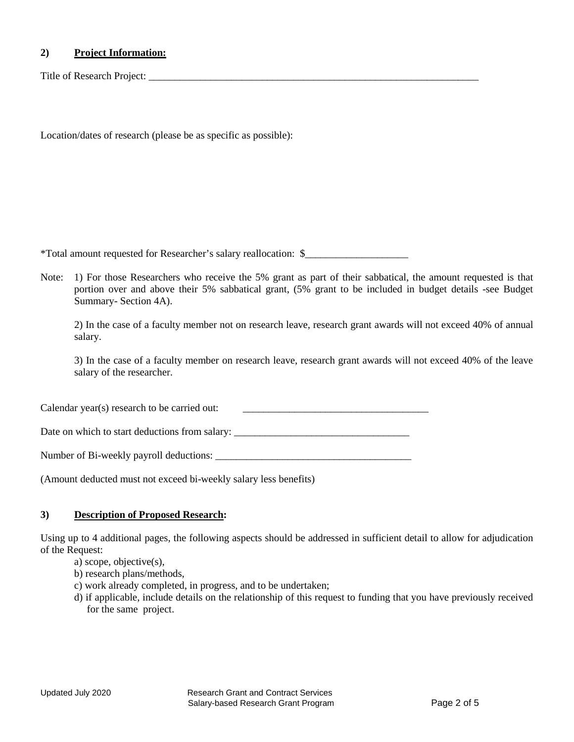## **2) Project Information:**

Title of Research Project:

Location/dates of research (please be as specific as possible):

\*Total amount requested for Researcher's salary reallocation: \$\_\_\_\_\_\_\_\_\_\_\_\_\_\_\_\_\_\_\_\_

Note: 1) For those Researchers who receive the 5% grant as part of their sabbatical, the amount requested is that portion over and above their 5% sabbatical grant, (5% grant to be included in budget details -see Budget Summary- Section 4A).

2) In the case of a faculty member not on research leave, research grant awards will not exceed 40% of annual salary.

3) In the case of a faculty member on research leave, research grant awards will not exceed 40% of the leave salary of the researcher.

Calendar year(s) research to be carried out:  $\qquad \qquad \qquad$ 

Date on which to start deductions from salary:

Number of Bi-weekly payroll deductions: \_\_\_\_\_\_\_\_\_\_\_\_\_\_\_\_\_\_\_\_\_\_\_\_\_\_\_\_\_\_\_\_\_\_\_\_\_\_

(Amount deducted must not exceed bi-weekly salary less benefits)

#### **3) Description of Proposed Research:**

Using up to 4 additional pages, the following aspects should be addressed in sufficient detail to allow for adjudication of the Request:

- a) scope, objective(s),
- b) research plans/methods,
- c) work already completed, in progress, and to be undertaken;
- d) if applicable, include details on the relationship of this request to funding that you have previously received for the same project.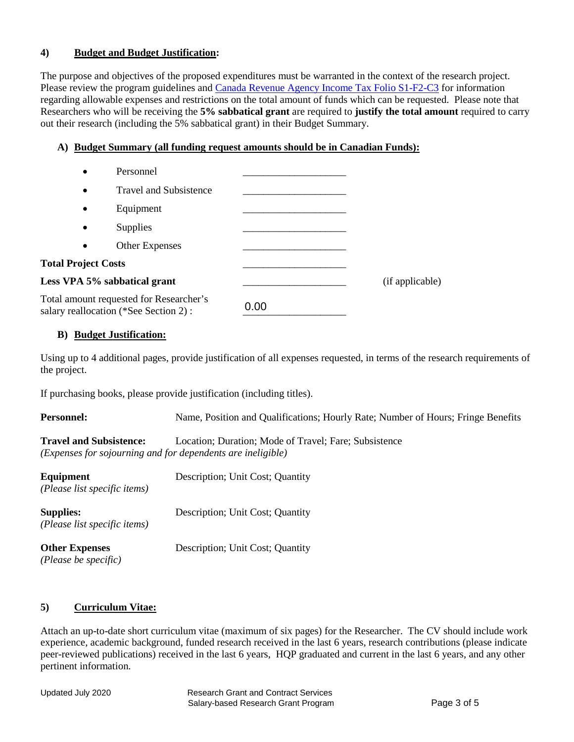# **4) Budget and Budget Justification:**

The purpose and objectives of the proposed expenditures must be warranted in the context of the research project. Please review the program guidelines and [Canada Revenue Agency Income Tax Folio S1-F2-C3](https://www.canada.ca/en/revenue-agency/services/tax/technical-information/income-tax/income-tax-folios-index/series-1-individuals/folio-2-students/income-tax-folio-s1-f2-c3-scholarships-research-grants-other-education-assistance.html) for information regarding allowable expenses and restrictions on the total amount of funds which can be requested. Please note that Researchers who will be receiving the **5% sabbatical grant** are required to **justify the total amount** required to carry out their research (including the 5% sabbatical grant) in their Budget Summary.

# **A) Budget Summary (all funding request amounts should be in Canadian Funds):**

| $\bullet$                                                                         | Personnel                     |      |                 |
|-----------------------------------------------------------------------------------|-------------------------------|------|-----------------|
| $\bullet$                                                                         | <b>Travel and Subsistence</b> |      |                 |
| $\bullet$                                                                         | Equipment                     |      |                 |
| $\bullet$                                                                         | Supplies                      |      |                 |
| $\bullet$                                                                         | Other Expenses                |      |                 |
| <b>Total Project Costs</b>                                                        |                               |      |                 |
|                                                                                   | Less VPA 5% sabbatical grant  |      | (if applicable) |
| Total amount requested for Researcher's<br>salary reallocation (*See Section 2) : |                               | 0.00 |                 |

#### **B) Budget Justification:**

Using up to 4 additional pages, provide justification of all expenses requested, in terms of the research requirements of the project.

If purchasing books, please provide justification (including titles).

| <b>Personnel:</b>                                | Name, Position and Qualifications; Hourly Rate; Number of Hours; Fringe Benefits                                     |  |
|--------------------------------------------------|----------------------------------------------------------------------------------------------------------------------|--|
| <b>Travel and Subsistence:</b>                   | Location: Duration: Mode of Travel: Fare: Subsistence<br>(Expenses for sojourning and for dependents are ineligible) |  |
| Equipment<br>(Please list specific items)        | Description; Unit Cost; Quantity                                                                                     |  |
| <b>Supplies:</b><br>(Please list specific items) | Description; Unit Cost; Quantity                                                                                     |  |
| <b>Other Expenses</b><br>(Please be specific)    | Description; Unit Cost; Quantity                                                                                     |  |

# **5) Curriculum Vitae:**

Attach an up-to-date short curriculum vitae (maximum of six pages) for the Researcher. The CV should include work experience, academic background, funded research received in the last 6 years, research contributions (please indicate peer-reviewed publications) received in the last 6 years, HQP graduated and current in the last 6 years, and any other pertinent information.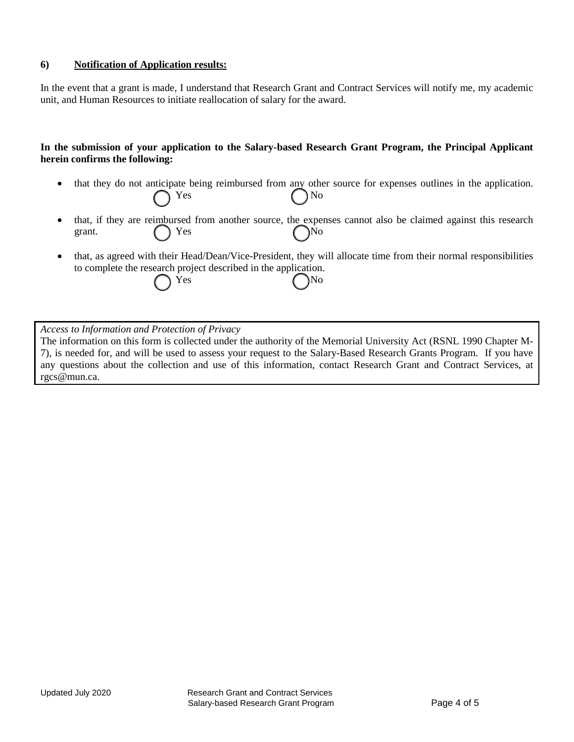#### **6) Notification of Application results:**

In the event that a grant is made, I understand that Research Grant and Contract Services will notify me, my academic unit, and Human Resources to initiate reallocation of salary for the award.

#### **In the submission of your application to the Salary-based Research Grant Program, the Principal Applicant herein confirms the following:**

- that they do not anticipate being reimbursed from any other source for expenses outlines in the application.  $Yes$   $No$
- that, if they are reimbursed from another source, the expenses cannot also be claimed against this research grant.  $\bigcap$  Yes  $\bigcap$  No
- that, as agreed with their Head/Dean/Vice-President, they will allocate time from their normal responsibilities to complete the research project described in the application. Yes No

*Access to Information and Protection of Privacy*

The information on this form is collected under the authority of the Memorial University Act (RSNL 1990 Chapter M-7), is needed for, and will be used to assess your request to the Salary-Based Research Grants Program. If you have any questions about the collection and use of this information, contact Research Grant and Contract Services, at rgcs@mun.ca.